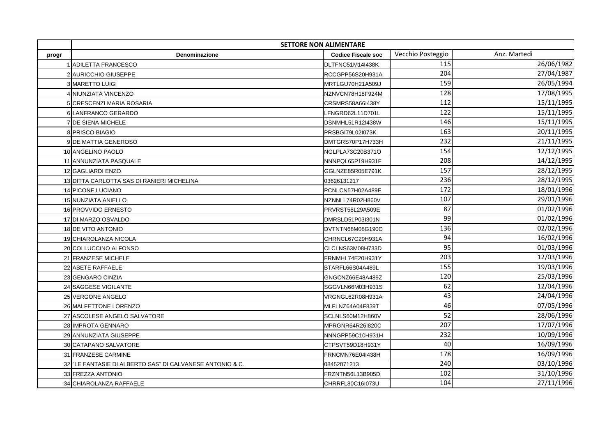|       | <b>SETTORE NON ALIMENTARE</b>                            |                           |                   |              |
|-------|----------------------------------------------------------|---------------------------|-------------------|--------------|
| progr | Denominazione                                            | <b>Codice Fiscale soc</b> | Vecchio Posteggio | Anz. Martedì |
|       | 1 ADILETTA FRANCESCO                                     | DLTFNC51M14I438K          | 115               | 26/06/1982   |
|       | 2 AURICCHIO GIUSEPPE                                     | RCCGPP56S20H931A          | 204               | 27/04/1987   |
|       | <b>3 MARETTO LUIGI</b>                                   | MRTLGU70H21A509J          | 159               | 26/05/1994   |
|       | 4 NIUNZIATA VINCENZO                                     | NZNVCN78H18F924M          | 128               | 17/08/1995   |
|       | 5 CRESCENZI MARIA ROSARIA                                | CRSMRS58A66I438Y          | 112               | 15/11/1995   |
|       | 6 LANFRANCO GERARDO                                      | LFNGRD62L11D701L          | 122               | 15/11/1995   |
|       | 7 DE SIENA MICHELE                                       | DSNMHL51R12I438W          | 146               | 15/11/1995   |
|       | 8 PRISCO BIAGIO                                          | PRSBGI79L02I073K          | 163               | 20/11/1995   |
|       | 9 DE MATTIA GENEROSO                                     | DMTGRS70P17H733H          | 232               | 21/11/1995   |
|       | 10 ANGELINO PAOLO                                        | NGLPLA73C20B371O          | 154               | 12/12/1995   |
|       | 11 ANNUNZIATA PASQUALE                                   | NNNPQL65P19H931F          | 208               | 14/12/1995   |
|       | 12 GAGLIARDI ENZO                                        | GGLNZE85R05E791K          | 157               | 28/12/1995   |
|       | 13 DITTA CARLOTTA SAS DI RANIERI MICHELINA               | 03626131217               | 236               | 28/12/1995   |
|       | 14 PICONE LUCIANO                                        | PCNLCN57H02A489E          | 172               | 18/01/1996   |
|       | 15 NUNZIATA ANIELLO                                      | NZNNLL74R02H860V          | 107               | 29/01/1996   |
|       | 16 PROVVIDO ERNESTO                                      | PRVRST58L29A509E          | 87                | 01/02/1996   |
|       | 17 DI MARZO OSVALDO                                      | DMRSLD51P03l301N          | 99                | 01/02/1996   |
|       | 18 DE VITO ANTONIO                                       | DVTNTN68M08G190C          | 136               | 02/02/1996   |
|       | 19 CHIAROLANZA NICOLA                                    | CHRNCL67C29H931A          | 94                | 16/02/1996   |
|       | 20 COLLUCCINO ALFONSO                                    | CLCLNS63M08H733D          | 95                | 01/03/1996   |
|       | 21 FRANZESE MICHELE                                      | FRNMHL74E20H931Y          | 203               | 12/03/1996   |
|       | 22 ABETE RAFFAELE                                        | BTARFL66S04A489L          | 155               | 19/03/1996   |
|       | 23 GENGARO CINZIA                                        | GNGCNZ66E48A489Z          | 120               | 25/03/1996   |
|       | 24 SAGGESE VIGILANTE                                     | SGGVLN66M03H931S          | 62                | 12/04/1996   |
|       | 25 VERGONE ANGELO                                        | VRGNGL62R08H931A          | 43                | 24/04/1996   |
|       | 26 MALFETTONE LORENZO                                    | MLFLNZ64A04F839T          | 46                | 07/05/1996   |
|       | 27 ASCOLESE ANGELO SALVATORE                             | SCLNLS60M12H860V          | 52                | 28/06/1996   |
|       | 28 IMPROTA GENNARO                                       | MPRGNR64R26I820C          | 207               | 17/07/1996   |
|       | 29 ANNUNZIATA GIUSEPPE                                   | NNNGPP59C10H931H          | 232               | 10/09/1996   |
|       | 30 CATAPANO SALVATORE                                    | CTPSVT59D18H931Y          | 40                | 16/09/1996   |
|       | 31 FRANZESE CARMINE                                      | FRNCMN76E04I438H          | 178               | 16/09/1996   |
|       | 32 LE FANTASIE DI ALBERTO SAS" DI CALVANESE ANTONIO & C. | 08452071213               | 240               | 03/10/1996   |
|       | 33 FREZZA ANTONIO                                        | FRZNTN56L13B905D          | 102               | 31/10/1996   |
|       | 34 CHIAROLANZA RAFFAELE                                  | CHRRFL80C16I073U          | 104               | 27/11/1996   |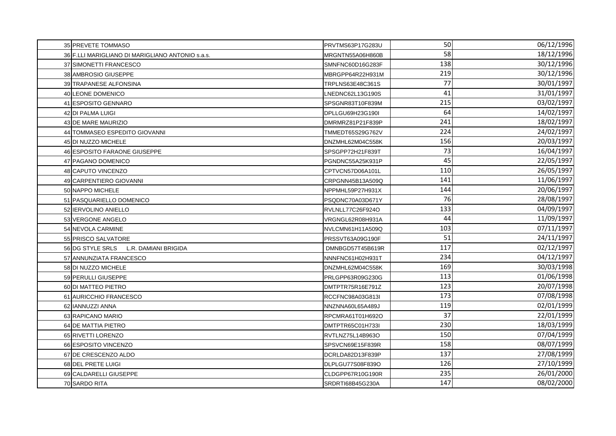| 35 PREVETE TOMMASO                               | PRVTMS63P17G283U | 50  | 06/12/1996 |
|--------------------------------------------------|------------------|-----|------------|
| 36 F.LLI MARIGLIANO DI MARIGLIANO ANTONIO s.a.s. | MRGNTN55A06H860B | 58  | 18/12/1996 |
| 37 SIMONETTI FRANCESCO                           | SMNFNC60D16G283F | 138 | 30/12/1996 |
| 38 AMBROSIO GIUSEPPE                             | MBRGPP64R22H931M | 219 | 30/12/1996 |
| 39 TRAPANESE ALFONSINA                           | TRPLNS63E48C361S | 77  | 30/01/1997 |
| 40 LEONE DOMENICO                                | LNEDNC62L13G190S | 41  | 31/01/1997 |
| 41 ESPOSITO GENNARO                              | SPSGNR83T10F839M | 215 | 03/02/1997 |
| 42 DI PALMA LUIGI                                | DPLLGU69H23G190I | 64  | 14/02/1997 |
| 43 DE MARE MAURIZIO                              | DMRMRZ81P21F839P | 241 | 18/02/1997 |
| 44 TOMMASEO ESPEDITO GIOVANNI                    | TMMEDT65S29G762V | 224 | 24/02/1997 |
| 45 DI NUZZO MICHELE                              | DNZMHL62M04C558K | 156 | 20/03/1997 |
| 46 ESPOSITO FARAONE GIUSEPPE                     | SPSGPP72H21F839T | 73  | 16/04/1997 |
| 47 PAGANO DOMENICO                               | PGNDNC55A25K931P | 45  | 22/05/1997 |
| 48 CAPUTO VINCENZO                               | CPTVCN57D06A101L | 110 | 26/05/1997 |
| 49 CARPENTIERO GIOVANNI                          | CRPGNN45B13A509Q | 141 | 11/06/1997 |
| 50 NAPPO MICHELE                                 | NPPMHL59P27H931X | 144 | 20/06/1997 |
| 51 PASQUARIELLO DOMENICO                         | PSQDNC70A03D671Y | 76  | 28/08/1997 |
| 52 IERVOLINO ANIELLO                             | RVLNLL77C26F924O | 133 | 04/09/1997 |
| 53 VERGONE ANGELO                                | VRGNGL62R08H931A | 44  | 11/09/1997 |
| 54 NEVOLA CARMINE                                | NVLCMN61H11A509Q | 103 | 07/11/1997 |
| 55 PRISCO SALVATORE                              | PRSSVT63A09G190F | 51  | 24/11/1997 |
| 56 DG STYLE SRLS L.R. DAMIANI BRIGIDA            | DMNBGD57T45B619R | 117 | 02/12/1997 |
| 57 ANNUNZIATA FRANCESCO                          | NNNFNC61H02H931T | 234 | 04/12/1997 |
| 58 DI NUZZO MICHELE                              | DNZMHL62M04C558K | 169 | 30/03/1998 |
| 59 PERULLI GIUSEPPE                              | PRLGPP63R09G230G | 113 | 01/06/1998 |
| 60 DI MATTEO PIETRO                              | DMTPTR75R16E791Z | 123 | 20/07/1998 |
| 61 AURICCHIO FRANCESCO                           | RCCFNC98A03G813I | 173 | 07/08/1998 |
| 62 IANNUZZI ANNA                                 | NNZNNA60L65A489J | 119 | 02/01/1999 |
| 63 RAPICANO MARIO                                | RPCMRA61T01H692O | 37  | 22/01/1999 |
| 64 DE MATTIA PIETRO                              | DMTPTR65C01H733I | 230 | 18/03/1999 |
| 65 RIVETTI LORENZO                               | RVTLNZ75L14B963O | 150 | 07/04/1999 |
| 66 ESPOSITO VINCENZO                             | SPSVCN69E15F839R | 158 | 08/07/1999 |
| 67 DE CRESCENZO ALDO                             | DCRLDA82D13F839P | 137 | 27/08/1999 |
| 68 DEL PRETE LUIGI                               | DLPLGU77S08F839O | 126 | 27/10/1999 |
| 69 CALDARELLI GIUSEPPE                           | CLDGPP67R10G190R | 235 | 26/01/2000 |
| 70 SARDO RITA                                    | SRDRTI68B45G230A | 147 | 08/02/2000 |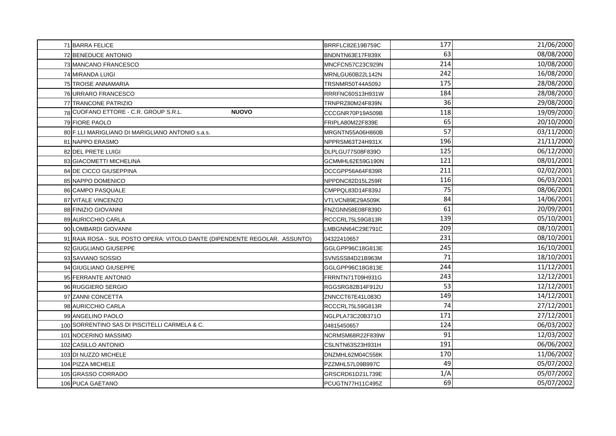| 71 BARRA FELICE                                                            | BRRFLC82E19B759C | 177 | 21/06/2000 |
|----------------------------------------------------------------------------|------------------|-----|------------|
| 72 BENEDUCE ANTONIO                                                        | BNDNTN63E17F839X | 63  | 08/08/2000 |
| 73 MANCANO FRANCESCO                                                       | MNCFCN57C23C929N | 214 | 10/08/2000 |
| 74 MIRANDA LUIGI                                                           | MRNLGU60B22L142N | 242 | 16/08/2000 |
| <b>75 TROISE ANNAMARIA</b>                                                 | TRSNMR50T44A509J | 175 | 28/08/2000 |
| 76 URRARO FRANCESCO                                                        | RRRFNC60S13H931W | 184 | 28/08/2000 |
| 77 TRANCONE PATRIZIO                                                       | TRNPRZ80M24F839N | 36  | 29/08/2000 |
| 78 CUOFANO ETTORE - C.R. GROUP S.R.L.<br><b>NUOVO</b>                      | CCCGNR70P19A509B | 118 | 19/09/2000 |
| 79 FIORE PAOLO                                                             | FRIPLA80M22F839E | 65  | 20/10/2000 |
| 80 F.LLI MARIGLIANO DI MARIGLIANO ANTONIO s.a.s.                           | MRGNTN55A06H860B | 57  | 03/11/2000 |
| 81 NAPPO ERASMO                                                            | NPPRSM63T24H931X | 196 | 21/11/2000 |
| 82 DEL PRETE LUIGI                                                         | DLPLGU77S08F839O | 125 | 06/12/2000 |
| 83 GIACOMETTI MICHELINA                                                    | GCMMHL62E59G190N | 121 | 08/01/2001 |
| 84 DE CICCO GIUSEPPINA                                                     | DCCGPP56A64F839R | 211 | 02/02/2001 |
| 85 NAPPO DOMENICO                                                          | NPPDNC82D15L259R | 116 | 06/03/2001 |
| 86 CAMPO PASQUALE                                                          | CMPPQL83D14F839J | 75  | 08/06/2001 |
| 87 VITALE VINCENZO                                                         | VTLVCN89E29A509K | 84  | 14/06/2001 |
| 88 FINIZIO GIOVANNI                                                        | FNZGNN58E08F839D | 61  | 20/09/2001 |
| 89 AURICCHIO CARLA                                                         | RCCCRL75L59G813R | 139 | 05/10/2001 |
| 90 LOMBARDI GIOVANNI                                                       | LMBGNN64C29E791C | 209 | 08/10/2001 |
| 91 RAIA ROSA - SUL POSTO OPERA: VITOLO DANTE (DIPENDENTE REGOLAR. ASSUNTO) | 04322410657      | 231 | 08/10/2001 |
| 92 GIUGLIANO GIUSEPPE                                                      | GGLGPP96C18G813E | 245 | 16/10/2001 |
| 93 SAVIANO SOSSIO                                                          | SVNSSS84D21B963M | 71  | 18/10/2001 |
| 94 GIUGLIANO GIUSEPPE                                                      | GGLGPP96C18G813E | 244 | 11/12/2001 |
| 95 FERRANTE ANTONIO                                                        | FRRNTN71T09H931G | 243 | 12/12/2001 |
| 96 RUGGIERO SERGIO                                                         | RGGSRG82B14F912U | 53  | 12/12/2001 |
| 97 ZANNI CONCETTA                                                          | ZNNCCT67E41L083O | 149 | 14/12/2001 |
| 98 AURICCHIO CARLA                                                         | RCCCRL75L59G813R | 74  | 27/12/2001 |
| 99 ANGELINO PAOLO                                                          | NGLPLA73C20B371O | 171 | 27/12/2001 |
| 100 SORRENTINO SAS DI PISCITELLI CARMELA & C.                              | 04815450657      | 124 | 06/03/2002 |
| 101 NOCERINO MASSIMO                                                       | NCRMSM68R22F839W | 91  | 12/03/2002 |
| 102 CASILLO ANTONIO                                                        | CSLNTN63S23H931H | 191 | 06/06/2002 |
| 103 DI NUZZO MICHELE                                                       | DNZMHL62M04C558K | 170 | 11/06/2002 |
| 104 PIZZA MICHELE                                                          | PZZMHL57L09B997C | 49  | 05/07/2002 |
| 105 GRASSO CORRADO                                                         | GRSCRD61D21L739E | 1/A | 05/07/2002 |
| 106 PUCA GAETANO                                                           | PCUGTN77H11C495Z | 69  | 05/07/2002 |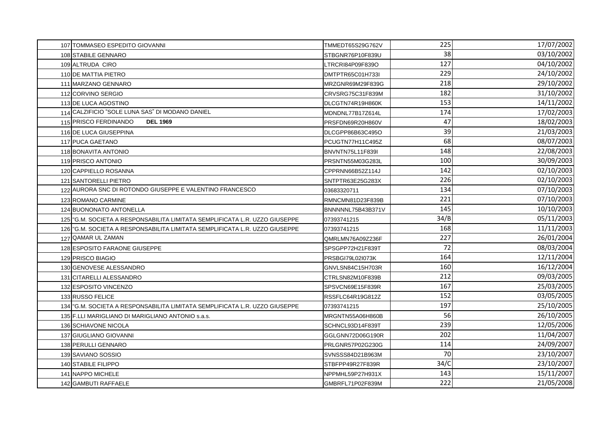| 107 TOMMASEO ESPEDITO GIOVANNI                                                | TMMEDT65S29G762V  | 225  | 17/07/2002 |
|-------------------------------------------------------------------------------|-------------------|------|------------|
| 108 STABILE GENNARO                                                           | STBGNR76P10F839U  | 38   | 03/10/2002 |
| 109 ALTRUDA CIRO                                                              | LTRCRI84P09F839O  | 127  | 04/10/2002 |
| 110 DE MATTIA PIETRO                                                          | DMTPTR65C01H733I  | 229  | 24/10/2002 |
| 111 MARZANO GENNARO                                                           | MRZGNR69M29F839G  | 218  | 29/10/2002 |
| 112 CORVINO SERGIO                                                            | CRVSRG75C31F839M  | 182  | 31/10/2002 |
| 113 DE LUCA AGOSTINO                                                          | DLCGTN74R19H860K  | 153  | 14/11/2002 |
| 114 CALZIFICIO "SOLE LUNA SAS" DI MODANO DANIEL                               | MDNDNL77B17Z614L  | 174  | 17/02/2003 |
| 115 PRISCO FERDINANDO<br><b>DEL 1969</b>                                      | PRSFDN69R20H860V  | 47   | 18/02/2003 |
| 116 DE LUCA GIUSEPPINA                                                        | DLCGPP86B63C495O  | 39   | 21/03/2003 |
| 117 PUCA GAETANO                                                              | PCUGTN77H11C495Z  | 68   | 08/07/2003 |
| 118 BONAVITA ANTONIO                                                          | BNVNTN75L11F839I  | 148  | 22/08/2003 |
| 119 PRISCO ANTONIO                                                            | PRSNTN55M03G283L  | 100  | 30/09/2003 |
| 120 CAPPIELLO ROSANNA                                                         | CPPRNN66B52Z114J  | 142  | 02/10/2003 |
| 121 SANTORELLI PIETRO                                                         | SNTPTR63E25G283X  | 226  | 02/10/2003 |
| 122 AURORA SNC DI ROTONDO GIUSEPPE E VALENTINO FRANCESCO                      | 03683320711       | 134  | 07/10/2003 |
| 123 ROMANO CARMINE                                                            | RMNCMN81D23F839B  | 221  | 07/10/2003 |
| 124 BUONONATO ANTONELLA                                                       | BNNNNNL75B43B371V | 145  | 10/10/2003 |
| 125 "G.M. SOCIETA A RESPONSABILITA LIMITATA SEMPLIFICATA L.R. UZZO GIUSEPPE   | 07393741215       | 34/B | 05/11/2003 |
| 126   "G.M. SOCIETA A RESPONSABILITA LIMITATA SEMPLIFICATA L.R. UZZO GIUSEPPE | 07393741215       | 168  | 11/11/2003 |
| 127 QAMAR UL ZAMAN                                                            | QMRLMN76A09Z236F  | 227  | 26/01/2004 |
| 128 ESPOSITO FARAONE GIUSEPPE                                                 | SPSGPP72H21F839T  | 72   | 08/03/2004 |
| 129 PRISCO BIAGIO                                                             | PRSBGI79L02I073K  | 164  | 12/11/2004 |
| 130 GENOVESE ALESSANDRO                                                       | GNVLSN84C15H703R  | 160  | 16/12/2004 |
| 131 CITARELLI ALESSANDRO                                                      | CTRLSN82M10F839B  | 212  | 09/03/2005 |
| 132 ESPOSITO VINCENZO                                                         | SPSVCN69E15F839R  | 167  | 25/03/2005 |
| 133 RUSSO FELICE                                                              | RSSFLC64R19G812Z  | 152  | 03/05/2005 |
| 134 G.M. SOCIETA A RESPONSABILITA LIMITATA SEMPLIFICATA L.R. UZZO GIUSEPPE    | 07393741215       | 197  | 25/10/2005 |
| 135 F.LLI MARIGLIANO DI MARIGLIANO ANTONIO s.a.s.                             | MRGNTN55A06H860B  | 56   | 26/10/2005 |
| 136 SCHIAVONE NICOLA                                                          | SCHNCL93D14F839T  | 239  | 12/05/2006 |
| 137 GIUGLIANO GIOVANNI                                                        | GGLGNN72D06G190R  | 202  | 11/04/2007 |
| 138 PERULLI GENNARO                                                           | PRLGNR57P02G230G  | 114  | 24/09/2007 |
| 139 SAVIANO SOSSIO                                                            | SVNSSS84D21B963M  | 70   | 23/10/2007 |
| 140 STABILE FILIPPO                                                           | STBFPP49R27F839R  | 34/C | 23/10/2007 |
| 141 NAPPO MICHELE                                                             | NPPMHL59P27H931X  | 143  | 15/11/2007 |
| 142 GAMBUTI RAFFAELE                                                          | GMBRFL71P02F839M  | 222  | 21/05/2008 |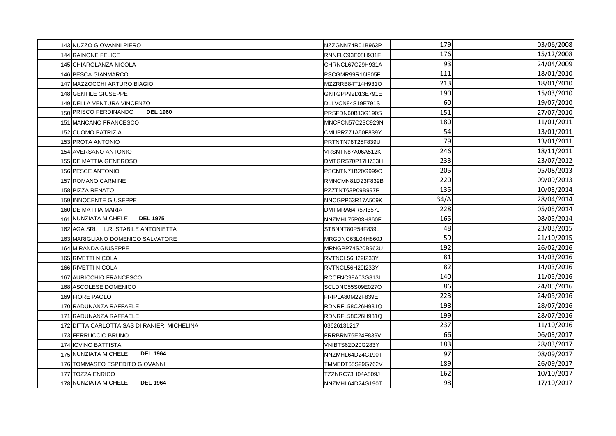| 143 NUZZO GIOVANNI PIERO                    | NZZGNN74R01B963P | 179  | 03/06/2008 |
|---------------------------------------------|------------------|------|------------|
| <b>144 RAINONE FELICE</b>                   | RNNFLC93E08H931F | 176  | 15/12/2008 |
| 145 CHIAROLANZA NICOLA                      | CHRNCL67C29H931A | 93   | 24/04/2009 |
| 146 PESCA GIANMARCO                         | PSCGMR99R16I805F | 111  | 18/01/2010 |
| 147 MAZZOCCHI ARTURO BIAGIO                 | MZZRRB84T14H931O | 213  | 18/01/2010 |
| 148 GENTILE GIUSEPPE                        | GNTGPP92D13E791E | 190  | 15/03/2010 |
| 149 DELLA VENTURA VINCENZO                  | DLLVCN84S19E791S | 60   | 19/07/2010 |
| 150 PRISCO FERDINANDO<br><b>DEL 1960</b>    | PRSFDN60B13G190S | 151  | 27/07/2010 |
| 151 MANCANO FRANCESCO                       | MNCFCN57C23C929N | 180  | 11/01/2011 |
| 152 CUOMO PATRIZIA                          | CMUPRZ71A50F839Y | 54   | 13/01/2011 |
| 153 PROTA ANTONIO                           | PRTNTN78T25F839U | 79   | 13/01/2011 |
| 154 AVERSANO ANTONIO                        | VRSNTN87A06A512K | 246  | 18/11/2011 |
| 155 DE MATTIA GENEROSO                      | DMTGRS70P17H733H | 233  | 23/07/2012 |
| 156 PESCE ANTONIO                           | PSCNTN71B20G999O | 205  | 05/08/2013 |
| 157 ROMANO CARMINE                          | RMNCMN81D23F839B | 220  | 09/09/2013 |
| 158 PIZZA RENATO                            | PZZTNT63P09B997P | 135  | 10/03/2014 |
| 159 INNOCENTE GIUSEPPE                      | NNCGPP63R17A509K | 34/A | 28/04/2014 |
| 160 DE MATTIA MARIA                         | DMTMRA64R57I357J | 228  | 05/05/2014 |
| <b>DEL 1975</b><br>161 NUNZIATA MICHELE     | NNZMHL75P03H860F | 165  | 08/05/2014 |
| 162 AGA SRL L.R. STABILE ANTONIETTA         | STBNNT80P54F839L | 48   | 23/03/2015 |
| 163 MARIGLIANO DOMENICO SALVATORE           | MRGDNC63L04H860J | 59   | 21/10/2015 |
| 164 MIRANDA GIUSEPPE                        | MRNGPP74S20B963U | 192  | 26/02/2016 |
| 165 RIVETTI NICOLA                          | RVTNCL56H29I233Y | 81   | 14/03/2016 |
| 166 RIVETTI NICOLA                          | RVTNCL56H29I233Y | 82   | 14/03/2016 |
| 167 AURICCHIO FRANCESCO                     | RCCFNC98A03G813I | 140  | 11/05/2016 |
| 168 ASCOLESE DOMENICO                       | SCLDNC55S09E027O | 86   | 24/05/2016 |
| 169 FIORE PAOLO                             | FRIPLA80M22F839E | 223  | 24/05/2016 |
| 170 RADUNANZA RAFFAELE                      | RDNRFL58C26H931Q | 198  | 28/07/2016 |
| 171 RADUNANZA RAFFAELE                      | RDNRFL58C26H931Q | 199  | 28/07/2016 |
| 172 DITTA CARLOTTA SAS DI RANIERI MICHELINA | 03626131217      | 237  | 11/10/2016 |
| 173 FERRUCCIO BRUNO                         | FRRBRN76E24F839V | 66   | 06/03/2017 |
| 174 IOVINO BATTISTA                         | VNIBTS62D20G283Y | 183  | 28/03/2017 |
| 175 NUNZIATA MICHELE<br><b>DEL 1964</b>     | NNZMHL64D24G190T | 97   | 08/09/2017 |
| 176 TOMMASEO ESPEDITO GIOVANNI              | TMMEDT65S29G762V | 189  | 26/09/2017 |
| 177 TOZZA ENRICO                            | TZZNRC73H04A509J | 162  | 10/10/2017 |
| 178 NUNZIATA MICHELE<br><b>DEL 1964</b>     | NNZMHL64D24G190T | 98   | 17/10/2017 |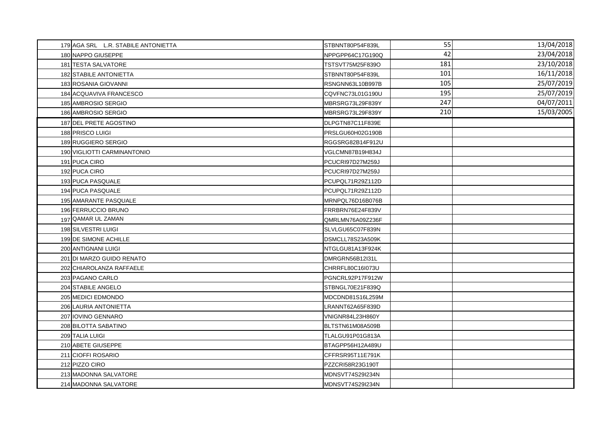| 179 AGA SRL L.R. STABILE ANTONIETTA | STBNNT80P54F839L | 55  | 13/04/2018 |
|-------------------------------------|------------------|-----|------------|
| 180 NAPPO GIUSEPPE                  | NPPGPP64C17G190Q | 42  | 23/04/2018 |
| 181 TESTA SALVATORE                 | TSTSVT75M25F839O | 181 | 23/10/2018 |
| 182 STABILE ANTONIETTA              | STBNNT80P54F839L | 101 | 16/11/2018 |
| 183 ROSANIA GIOVANNI                | RSNGNN63L10B997B | 105 | 25/07/2019 |
| 184 ACQUAVIVA FRANCESCO             | CQVFNC73L01G190U | 195 | 25/07/2019 |
| 185 AMBROSIO SERGIO                 | MBRSRG73L29F839Y | 247 | 04/07/2011 |
| 186 AMBROSIO SERGIO                 | MBRSRG73L29F839Y | 210 | 15/03/2005 |
| 187 DEL PRETE AGOSTINO              | DLPGTN87C11F839E |     |            |
| 188 PRISCO LUIGI                    | PRSLGU60H02G190B |     |            |
| 189 RUGGIERO SERGIO                 | RGGSRG82B14F912U |     |            |
| 190 VIGLIOTTI CARMINANTONIO         | VGLCMN87B19H834J |     |            |
| 191 PUCA CIRO                       | PCUCRI97D27M259J |     |            |
| 192 PUCA CIRO                       | PCUCRI97D27M259J |     |            |
| 193 PUCA PASQUALE                   | PCUPQL71R29Z112D |     |            |
| 194 PUCA PASQUALE                   | PCUPQL71R29Z112D |     |            |
| 195 AMARANTE PASQUALE               | MRNPQL76D16B076B |     |            |
| 196 FERRUCCIO BRUNO                 | FRRBRN76E24F839V |     |            |
| 197 QAMAR UL ZAMAN                  | QMRLMN76A09Z236F |     |            |
| 198 SILVESTRI LUIGI                 | SLVLGU65C07F839N |     |            |
| 199 DE SIMONE ACHILLE               | DSMCLL78S23A509K |     |            |
| 200 ANTIGNANI LUIGI                 | NTGLGU81A13F924K |     |            |
| 201 DI MARZO GUIDO RENATO           | DMRGRN56B12I31L  |     |            |
| 202 CHIAROLANZA RAFFAELE            | CHRRFL80C16I073U |     |            |
| 203 PAGANO CARLO                    | PGNCRL92P17F912W |     |            |
| 204 STABILE ANGELO                  | STBNGL70E21F839Q |     |            |
| 205 MEDICI EDMONDO                  | MDCDND81S16L259M |     |            |
| 206 LAURIA ANTONIETTA               | LRANNT62A65F839D |     |            |
| 207 IOVINO GENNARO                  | VNIGNR84L23H860Y |     |            |
| 208 BILOTTA SABATINO                | BLTSTN61M08A509B |     |            |
| 209 TALIA LUIGI                     | TLALGU91P01G813A |     |            |
| 210 ABETE GIUSEPPE                  | BTAGPP56H12A489U |     |            |
| 211 CIOFFI ROSARIO                  | CFFRSR95T11E791K |     |            |
| 212 PIZZO CIRO                      | PZZCRI58R23G190T |     |            |
| 213 MADONNA SALVATORE               | MDNSVT74S29I234N |     |            |
| 214 MADONNA SALVATORE               | MDNSVT74S29I234N |     |            |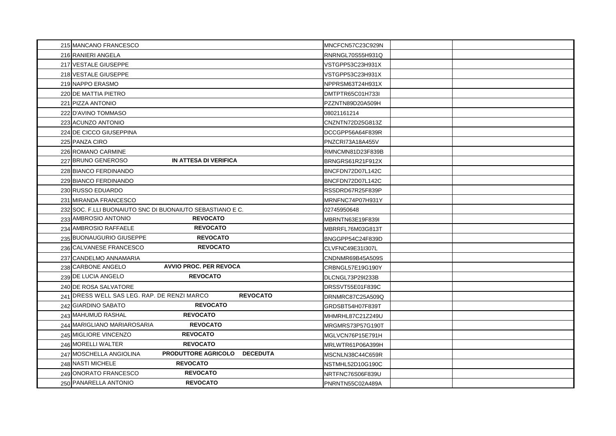| 215 MANCANO FRANCESCO                                          | MNCFCN57C23C929N |
|----------------------------------------------------------------|------------------|
| 216 RANIERI ANGELA                                             | RNRNGL70S55H931Q |
| 217 VESTALE GIUSEPPE                                           | VSTGPP53C23H931X |
| 218 VESTALE GIUSEPPE                                           | VSTGPP53C23H931X |
| 219 NAPPO ERASMO                                               | NPPRSM63T24H931X |
| 220 DE MATTIA PIETRO                                           | DMTPTR65C01H733I |
| 221 PIZZA ANTONIO                                              | PZZNTN89D20A509H |
| 222 D'AVINO TOMMASO                                            | 08021161214      |
| 223 ACUNZO ANTONIO                                             | CNZNTN72D25G813Z |
| 224 DE CICCO GIUSEPPINA                                        | DCCGPP56A64F839R |
| 225 PANZA CIRO                                                 | PNZCRI73A18A455V |
| 226 ROMANO CARMINE                                             | RMNCMN81D23F839B |
| 227 BRUNO GENEROSO<br>IN ATTESA DI VERIFICA                    | BRNGRS61R21F912X |
| 228 BIANCO FERDINANDO                                          | BNCFDN72D07L142C |
| 229 BIANCO FERDINANDO                                          | BNCFDN72D07L142C |
| 230 RUSSO EDUARDO                                              | RSSDRD67R25F839P |
| 231 MIRANDA FRANCESCO                                          | MRNFNC74P07H931Y |
| 232 SOC. F.LLI BUONAIUTO SNC DI BUONAIUTO SEBASTIANO E C.      | 02745950648      |
| <b>REVOCATO</b><br>233 AMBROSIO ANTONIO                        | MBRNTN63E19F839I |
| <b>REVOCATO</b><br>234 AMBROSIO RAFFAELE                       | MBRRFL76M03G813T |
| <b>REVOCATO</b><br>235 BUONAUGURIO GIUSEPPE                    | BNGGPP54C24F839D |
| 236 CALVANESE FRANCESCO<br><b>REVOCATO</b>                     | CLVFNC49E31I307L |
| 237 CANDELMO ANNAMARIA                                         | CNDNMR69B45A509S |
| <b>AVVIO PROC. PER REVOCA</b><br>238 CARBONE ANGELO            | CRBNGL57E19G190Y |
| <b>REVOCATO</b><br>239 DE LUCIA ANGELO                         | DLCNGL73P29I233B |
| 240 DE ROSA SALVATORE                                          | DRSSVT55E01F839C |
| 241 DRESS WELL SAS LEG. RAP. DE RENZI MARCO<br><b>REVOCATO</b> | DRNMRC87C25A509Q |
| <b>REVOCATO</b><br>242 GIARDINO SABATO                         | GRDSBT54H07F839T |
| 243 MAHUMUD RASHAL<br><b>REVOCATO</b>                          | MHMRHL87C21Z249U |
| <b>REVOCATO</b><br>244 MARIGLIANO MARIAROSARIA                 | MRGMRS73P57G190T |
| 245 MIGLIORE VINCENZO<br><b>REVOCATO</b>                       | MGLVCN76P15E791H |
| 246 MORELLI WALTER<br><b>REVOCATO</b>                          | MRLWTR61P06A399H |
| PRODUTTORE AGRICOLO DECEDUTA<br>247 MOSCHELLA ANGIOLINA        | MSCNLN38C44C659R |
| <b>REVOCATO</b><br>248 NASTI MICHELE                           | NSTMHL52D10G190C |
| <b>REVOCATO</b><br>249 ONORATO FRANCESCO                       | NRTFNC76S06F839U |
| 250 PANARELLA ANTONIO<br><b>REVOCATO</b>                       | PNRNTN55C02A489A |